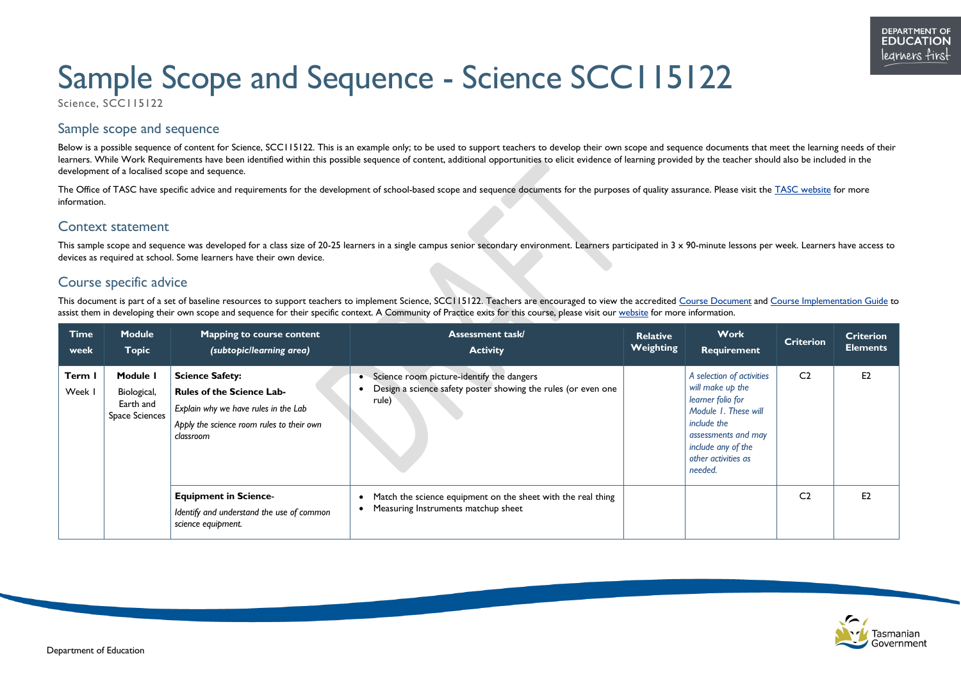# Sample Scope and Sequence - Science SCC115122

Science, SCC115122







## Sample scope and sequence

Below is a possible sequence of content for Science, SCC115122. This is an example only; to be used to support teachers to develop their own scope and sequence documents that meet the learning needs of their learners. While Work Requirements have been identified within this possible sequence of content, additional opportunities to elicit evidence of learning provided by the teacher should also be included in the development of a localised scope and sequence.

The Office of TASC have specific advice and requirements for the development of school-based scope and sequence documents for the purposes of quality assurance. Please visit the [TASC website](http://www.tasc.tas.gov.au/) for more information.

This sample scope and sequence was developed for a class size of 20-25 learners in a single campus senior secondary environment. Learners participated in 3 x 90-minute lessons per week. Learners have access to devices as required at school. Some learners have their own device.

### Context statement

# Course specific advice

This document is part of a set of baseline resources to support teachers to implement Science, SCC115122. Teachers are encouraged to view the accredited [Course Document](https://www.tasc.tas.gov.au/students/courses/science/scc115122/) and [Course Implementation Guide](https://11and12.education.tas.gov.au/) to assist them in developing their own scope and sequence for their specific context. A Community of Practice exits for this course, please visit our [website](https://11and12.education.tas.gov.au/communities-of-practice/) for more information.

| <b>Time</b><br>week | <b>Module</b><br><b>Topic</b>                                 | Mapping to course content<br>(subtopic/learning area)                                                                                                        | <b>Assessment task/</b><br><b>Activity</b>                                                                                       | <b>Relative</b><br>Weighting | <b>Work</b><br>Requirement                                                                                                                                                               | <b>Criterion</b> | <b>Criterion</b><br><b>Elements</b> |
|---------------------|---------------------------------------------------------------|--------------------------------------------------------------------------------------------------------------------------------------------------------------|----------------------------------------------------------------------------------------------------------------------------------|------------------------------|------------------------------------------------------------------------------------------------------------------------------------------------------------------------------------------|------------------|-------------------------------------|
| Term I<br>Week I    | Module I<br>Biological,<br>Earth and<br><b>Space Sciences</b> | <b>Science Safety:</b><br><b>Rules of the Science Lab-</b><br>Explain why we have rules in the Lab<br>Apply the science room rules to their own<br>classroom | Science room picture-identify the dangers<br>$\bullet$<br>Design a science safety poster showing the rules (or even one<br>rule) |                              | A selection of activities<br>will make up the<br>learner folio for<br>Module 1. These will<br>include the<br>assessments and may<br>include any of the<br>other activities as<br>needed. | C <sub>2</sub>   | E2                                  |
|                     |                                                               | <b>Equipment in Science-</b><br>Identify and understand the use of common<br>science equipment.                                                              | Match the science equipment on the sheet with the real thing<br>$\bullet$<br>Measuring Instruments matchup sheet                 |                              |                                                                                                                                                                                          | C <sub>2</sub>   | E <sub>2</sub>                      |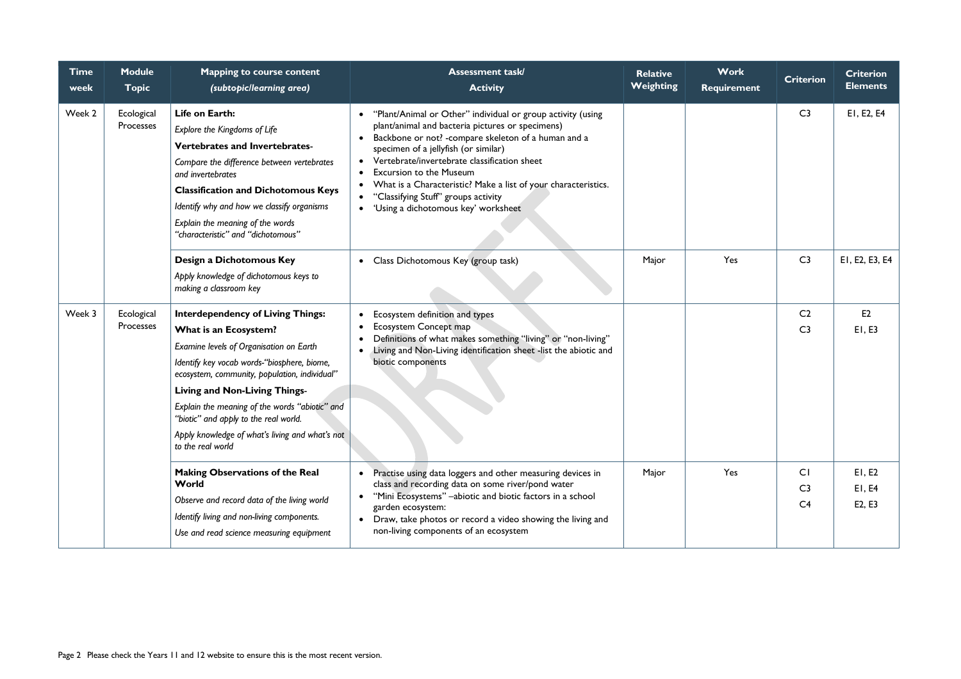| <b>Time</b><br>week | <b>Module</b><br><b>Topic</b> | <b>Mapping to course content</b><br>(subtopic/learning area)                                                                                                                                                                                                                                                                                                                                                     | <b>Assessment task/</b><br><b>Activity</b>                                                                                                                                                                                                                                                                                                                                                                                                                                               | <b>Relative</b><br><b>Weighting</b> | <b>Work</b><br><b>Requirement</b> | <b>Criterion</b>                       | <b>Criterion</b><br><b>Elements</b> |
|---------------------|-------------------------------|------------------------------------------------------------------------------------------------------------------------------------------------------------------------------------------------------------------------------------------------------------------------------------------------------------------------------------------------------------------------------------------------------------------|------------------------------------------------------------------------------------------------------------------------------------------------------------------------------------------------------------------------------------------------------------------------------------------------------------------------------------------------------------------------------------------------------------------------------------------------------------------------------------------|-------------------------------------|-----------------------------------|----------------------------------------|-------------------------------------|
| Week 2              | Ecological<br>Processes       | Life on Earth:<br>Explore the Kingdoms of Life<br>Vertebrates and Invertebrates-<br>Compare the difference between vertebrates<br>and invertebrates<br><b>Classification and Dichotomous Keys</b><br>Identify why and how we classify organisms<br>Explain the meaning of the words<br>"characteristic" and "dichotomous"                                                                                        | "Plant/Animal or Other" individual or group activity (using<br>plant/animal and bacteria pictures or specimens)<br>Backbone or not? - compare skeleton of a human and a<br>specimen of a jellyfish (or similar)<br>Vertebrate/invertebrate classification sheet<br>$\bullet$<br><b>Excursion to the Museum</b><br>What is a Characteristic? Make a list of your characteristics.<br>$\bullet$<br>"Classifying Stuff" groups activity<br>'Using a dichotomous key' worksheet<br>$\bullet$ |                                     |                                   | C <sub>3</sub>                         | EI, E2, E4                          |
|                     |                               | Design a Dichotomous Key<br>Apply knowledge of dichotomous keys to<br>making a classroom key                                                                                                                                                                                                                                                                                                                     | • Class Dichotomous Key (group task)                                                                                                                                                                                                                                                                                                                                                                                                                                                     | Major                               | Yes                               | C <sub>3</sub>                         | EI, E2, E3, E4                      |
| Week 3              | Ecological<br>Processes       | <b>Interdependency of Living Things:</b><br>What is an Ecosystem?<br>Examine levels of Organisation on Earth<br>Identify key vocab words-"biosphere, biome,<br>ecosystem, community, population, individual"<br>Living and Non-Living Things-<br>Explain the meaning of the words "abiotic" and<br>"biotic" and apply to the real world.<br>Apply knowledge of what's living and what's not<br>to the real world | Ecosystem definition and types<br>Ecosystem Concept map<br>Definitions of what makes something "living" or "non-living"<br>Living and Non-Living identification sheet -list the abiotic and<br>biotic components                                                                                                                                                                                                                                                                         |                                     |                                   | C <sub>2</sub><br>C <sub>3</sub>       | E2<br>E1, E3                        |
|                     |                               | <b>Making Observations of the Real</b><br>World<br>Observe and record data of the living world<br>Identify living and non-living components.<br>Use and read science measuring equipment                                                                                                                                                                                                                         | Practise using data loggers and other measuring devices in<br>$\bullet$<br>class and recording data on some river/pond water<br>"Mini Ecosystems" - abiotic and biotic factors in a school<br>$\bullet$<br>garden ecosystem:<br>• Draw, take photos or record a video showing the living and<br>non-living components of an ecosystem                                                                                                                                                    | Major                               | Yes                               | CI<br>C <sub>3</sub><br>C <sub>4</sub> | E1, E2<br>E1, E4<br>E2, E3          |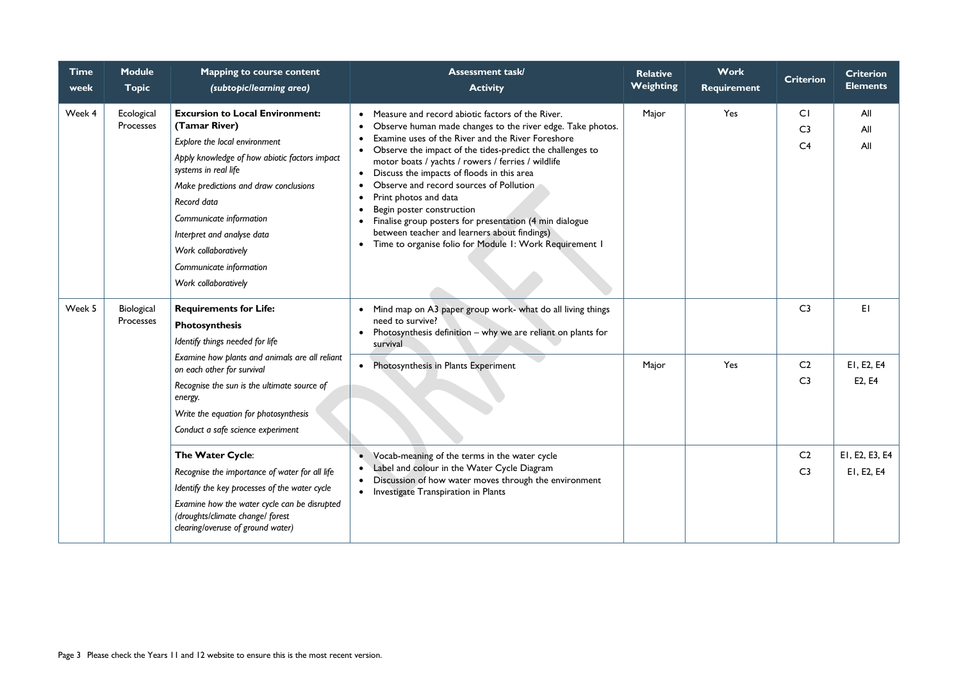| <b>Time</b><br>week | <b>Module</b><br><b>Topic</b> | <b>Mapping to course content</b><br>(subtopic/learning area)                                                                                                                                                                                                                                                                                                  | <b>Assessment task/</b><br><b>Activity</b>                                                                                                                                                                                                                                                                                                                                                                                                                                                                                                                                                                                                                                                                  | <b>Relative</b><br>Weighting | <b>Work</b><br><b>Requirement</b> | <b>Criterion</b>                       | <b>Criterion</b><br><b>Elements</b> |
|---------------------|-------------------------------|---------------------------------------------------------------------------------------------------------------------------------------------------------------------------------------------------------------------------------------------------------------------------------------------------------------------------------------------------------------|-------------------------------------------------------------------------------------------------------------------------------------------------------------------------------------------------------------------------------------------------------------------------------------------------------------------------------------------------------------------------------------------------------------------------------------------------------------------------------------------------------------------------------------------------------------------------------------------------------------------------------------------------------------------------------------------------------------|------------------------------|-----------------------------------|----------------------------------------|-------------------------------------|
| Week 4              | Ecological<br>Processes       | <b>Excursion to Local Environment:</b><br>(Tamar River)<br>Explore the local environment<br>Apply knowledge of how abiotic factors impact<br>systems in real life<br>Make predictions and draw conclusions<br>Record data<br>Communicate information<br>Interpret and analyse data<br>Work collaboratively<br>Communicate information<br>Work collaboratively | Measure and record abiotic factors of the River.<br>Observe human made changes to the river edge. Take photos.<br>$\bullet$<br>Examine uses of the River and the River Foreshore<br>$\bullet$<br>Observe the impact of the tides-predict the challenges to<br>$\bullet$<br>motor boats / yachts / rowers / ferries / wildlife<br>Discuss the impacts of floods in this area<br>$\bullet$<br>Observe and record sources of Pollution<br>$\bullet$<br>Print photos and data<br>$\bullet$<br>Begin poster construction<br>٠<br>Finalise group posters for presentation (4 min dialogue<br>between teacher and learners about findings)<br>Time to organise folio for Module I: Work Requirement I<br>$\bullet$ | Major                        | Yes                               | CI<br>C <sub>3</sub><br>C <sub>4</sub> | All<br>All<br>All                   |
| Week 5              | Biological<br>Processes       | <b>Requirements for Life:</b><br>Photosynthesis<br>Identify things needed for life                                                                                                                                                                                                                                                                            | • Mind map on A3 paper group work- what do all living things<br>need to survive?<br>Photosynthesis definition - why we are reliant on plants for<br>survival                                                                                                                                                                                                                                                                                                                                                                                                                                                                                                                                                |                              |                                   | C <sub>3</sub>                         | EI                                  |
|                     |                               | Examine how plants and animals are all reliant<br>on each other for survival<br>Recognise the sun is the ultimate source of<br>energy.<br>Write the equation for photosynthesis<br>Conduct a safe science experiment                                                                                                                                          | Photosynthesis in Plants Experiment                                                                                                                                                                                                                                                                                                                                                                                                                                                                                                                                                                                                                                                                         | Major                        | Yes                               | C <sub>2</sub><br>C <sub>3</sub>       | EI, E2, E4<br>E2, E4                |
|                     |                               | The Water Cycle:<br>Recognise the importance of water for all life<br>Identify the key processes of the water cycle<br>Examine how the water cycle can be disrupted<br>(droughts/climate change/ forest<br>clearing/overuse of ground water)                                                                                                                  | Vocab-meaning of the terms in the water cycle<br>Label and colour in the Water Cycle Diagram<br>Discussion of how water moves through the environment<br>$\bullet$<br>• Investigate Transpiration in Plants                                                                                                                                                                                                                                                                                                                                                                                                                                                                                                 |                              |                                   | C <sub>2</sub><br>C <sub>3</sub>       | EI, E2, E3, E4<br>EI, E2, E4        |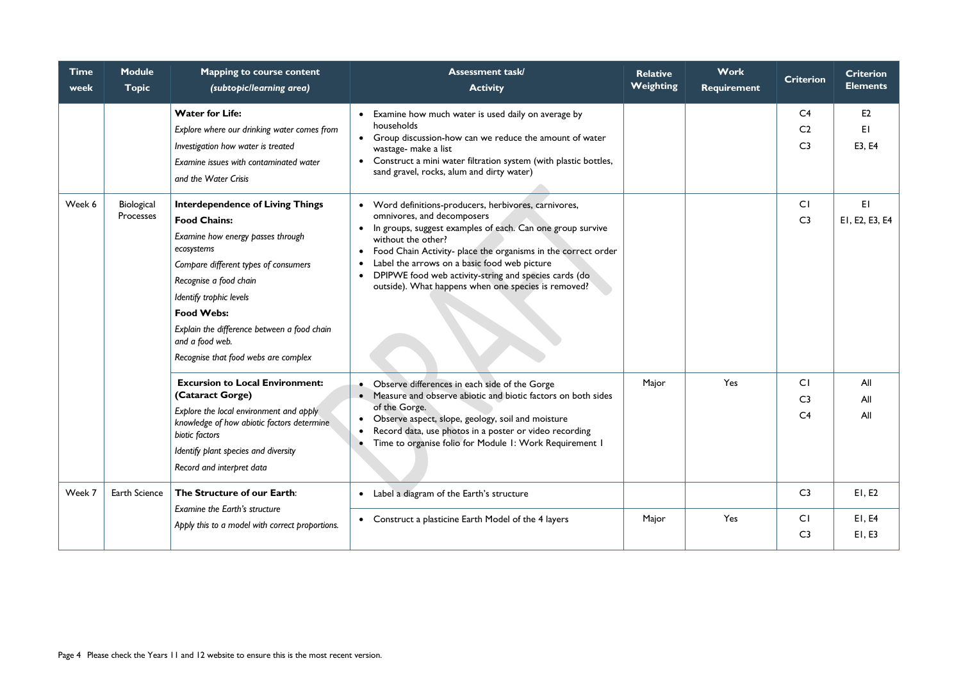| <b>Time</b><br>week | <b>Module</b><br><b>Topic</b> | <b>Mapping to course content</b><br>(subtopic/learning area)                                                                                                                                                                                                                                                                                  | <b>Assessment task/</b><br><b>Activity</b>                                                                                                                                                                                                                                                                                                                                                                                                        | <b>Relative</b><br>Weighting | <b>Work</b><br><b>Requirement</b> | <b>Criterion</b>                                   | <b>Criterion</b><br><b>Elements</b> |
|---------------------|-------------------------------|-----------------------------------------------------------------------------------------------------------------------------------------------------------------------------------------------------------------------------------------------------------------------------------------------------------------------------------------------|---------------------------------------------------------------------------------------------------------------------------------------------------------------------------------------------------------------------------------------------------------------------------------------------------------------------------------------------------------------------------------------------------------------------------------------------------|------------------------------|-----------------------------------|----------------------------------------------------|-------------------------------------|
|                     |                               | <b>Water for Life:</b><br>Explore where our drinking water comes from<br>Investigation how water is treated<br>Examine issues with contaminated water<br>and the Water Crisis                                                                                                                                                                 | Examine how much water is used daily on average by<br>households<br>• Group discussion-how can we reduce the amount of water<br>wastage- make a list<br>Construct a mini water filtration system (with plastic bottles,<br>sand gravel, rocks, alum and dirty water)                                                                                                                                                                              |                              |                                   | C <sub>4</sub><br>C <sub>2</sub><br>C <sub>3</sub> | E <sub>2</sub><br>EI<br>E3, E4      |
| Week 6              | Biological<br>Processes       | <b>Interdependence of Living Things</b><br><b>Food Chains:</b><br>Examine how energy passes through<br>ecosystems<br>Compare different types of consumers<br>Recognise a food chain<br>Identify trophic levels<br><b>Food Webs:</b><br>Explain the difference between a food chain<br>and a food web.<br>Recognise that food webs are complex | • Word definitions-producers, herbivores, carnivores,<br>omnivores, and decomposers<br>In groups, suggest examples of each. Can one group survive<br>$\bullet$<br>without the other?<br>• Food Chain Activity- place the organisms in the correct order<br>Label the arrows on a basic food web picture<br>$\bullet$<br>DPIPWE food web activity-string and species cards (do<br>$\bullet$<br>outside). What happens when one species is removed? |                              |                                   | CI<br>C <sub>3</sub>                               | EI<br>EI, E2, E3, E4                |
|                     |                               | <b>Excursion to Local Environment:</b><br>(Cataract Gorge)<br>Explore the local environment and apply<br>knowledge of how abiotic factors determine<br>biotic factors<br>Identify plant species and diversity<br>Record and interpret data                                                                                                    | • Observe differences in each side of the Gorge<br>• Measure and observe abiotic and biotic factors on both sides<br>of the Gorge.<br>• Observe aspect, slope, geology, soil and moisture<br>Record data, use photos in a poster or video recording<br>Time to organise folio for Module 1: Work Requirement 1                                                                                                                                    | Major                        | Yes                               | CI<br>C <sub>3</sub><br>C <sub>4</sub>             | All<br>All<br>All                   |
| Week 7              | <b>Earth Science</b>          | The Structure of our Earth:<br>Examine the Earth's structure                                                                                                                                                                                                                                                                                  | • Label a diagram of the Earth's structure                                                                                                                                                                                                                                                                                                                                                                                                        |                              |                                   | C <sub>3</sub>                                     | E1, E2                              |
|                     |                               | Apply this to a model with correct proportions.                                                                                                                                                                                                                                                                                               | • Construct a plasticine Earth Model of the 4 layers                                                                                                                                                                                                                                                                                                                                                                                              | Major                        | Yes                               | CI<br>C <sub>3</sub>                               | E1, E4<br>EI, E3                    |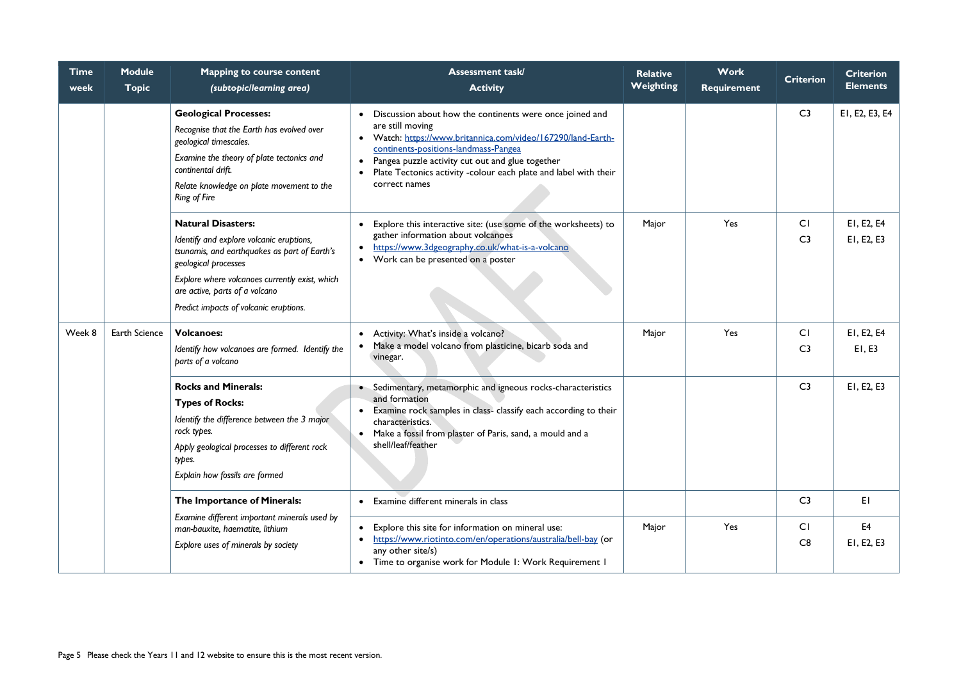| <b>Time</b><br>week | <b>Module</b><br><b>Topic</b> | <b>Mapping to course content</b><br>(subtopic/learning area)                                                                                                                                                                                                                | <b>Assessment task/</b><br><b>Activity</b>                                                                                                                                                                                                                                                                                                            | <b>Relative</b><br><b>Weighting</b> | <b>Work</b><br><b>Requirement</b> | <b>Criterion</b>     | <b>Criterion</b><br><b>Elements</b> |
|---------------------|-------------------------------|-----------------------------------------------------------------------------------------------------------------------------------------------------------------------------------------------------------------------------------------------------------------------------|-------------------------------------------------------------------------------------------------------------------------------------------------------------------------------------------------------------------------------------------------------------------------------------------------------------------------------------------------------|-------------------------------------|-----------------------------------|----------------------|-------------------------------------|
|                     |                               | <b>Geological Processes:</b><br>Recognise that the Earth has evolved over<br>geological timescales.<br>Examine the theory of plate tectonics and<br>continental drift.<br>Relate knowledge on plate movement to the<br><b>Ring of Fire</b>                                  | Discussion about how the continents were once joined and<br>are still moving<br>Watch: https://www.britannica.com/video/167290/land-Earth-<br>$\bullet$<br>continents-positions-landmass-Pangea<br>Pangea puzzle activity cut out and glue together<br>$\bullet$<br>Plate Tectonics activity -colour each plate and label with their<br>correct names |                                     |                                   | C <sub>3</sub>       | EI, E2, E3, E4                      |
|                     |                               | <b>Natural Disasters:</b><br>Identify and explore volcanic eruptions,<br>tsunamis, and earthquakes as part of Earth's<br>geological processes<br>Explore where volcanoes currently exist, which<br>are active, parts of a volcano<br>Predict impacts of volcanic eruptions. | Explore this interactive site: (use some of the worksheets) to<br>gather information about volcanoes<br>https://www.3dgeography.co.uk/what-is-a-volcano<br>$\bullet$<br>Work can be presented on a poster<br>$\bullet$                                                                                                                                | Major                               | Yes                               | CI<br>C <sub>3</sub> | EI, E2, E4<br>EI, E2, E3            |
| Week 8              | Earth Science                 | <b>Volcanoes:</b><br>Identify how volcanoes are formed. Identify the<br>parts of a volcano                                                                                                                                                                                  | Activity: What's inside a volcano?<br>Make a model volcano from plasticine, bicarb soda and<br>vinegar.                                                                                                                                                                                                                                               | Major                               | Yes                               | CI<br>C <sub>3</sub> | EI, E2, E4<br>E1, E3                |
|                     |                               | <b>Rocks and Minerals:</b><br><b>Types of Rocks:</b><br>Identify the difference between the 3 major<br>rock types.<br>Apply geological processes to different rock<br>types.<br>Explain how fossils are formed                                                              | • Sedimentary, metamorphic and igneous rocks-characteristics<br>and formation<br>Examine rock samples in class- classify each according to their<br>characteristics.<br>Make a fossil from plaster of Paris, sand, a mould and a<br>shell/leaf/feather                                                                                                |                                     |                                   | C <sub>3</sub>       | EI, E2, E3                          |
|                     |                               | The Importance of Minerals:                                                                                                                                                                                                                                                 | Examine different minerals in class                                                                                                                                                                                                                                                                                                                   |                                     |                                   | C <sub>3</sub>       | EI                                  |
|                     |                               | Examine different important minerals used by<br>man-bauxite, haematite, lithium<br>Explore uses of minerals by society                                                                                                                                                      | Explore this site for information on mineral use:<br>https://www.riotinto.com/en/operations/australia/bell-bay (or<br>any other site/s)<br>Time to organise work for Module I: Work Requirement I<br>$\bullet$                                                                                                                                        | Major                               | Yes                               | CI<br>C8             | E <sub>4</sub><br>EI, E2, E3        |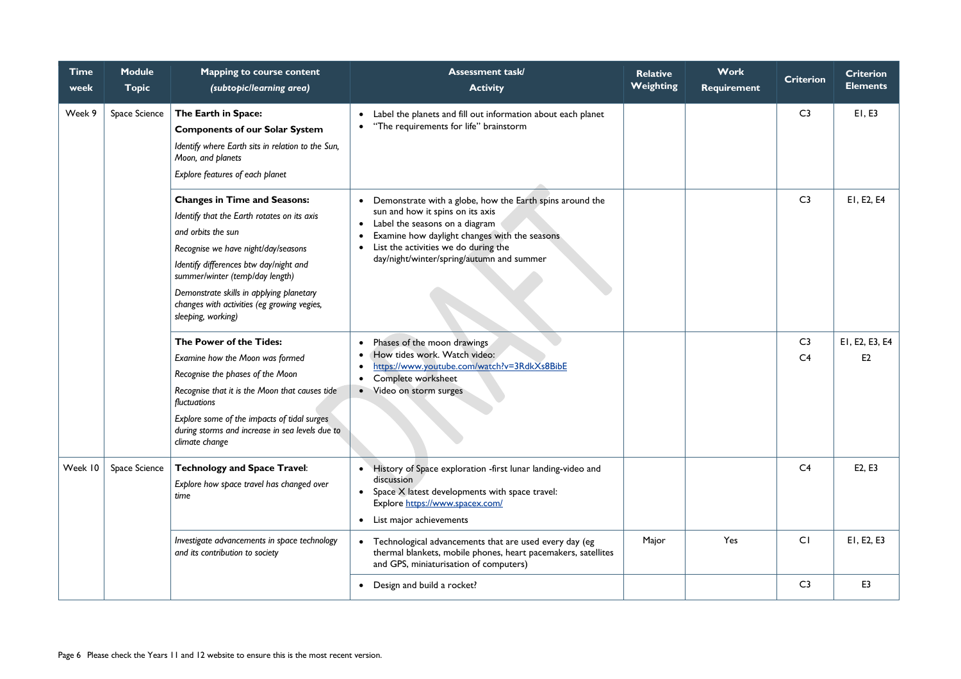| <b>Time</b><br>week | <b>Module</b><br><b>Topic</b>                                                                                                                                                                                                                                                                                                                                                                                                                                                                                                                                                      | <b>Mapping to course content</b><br>(subtopic/learning area)                                                                                                                                                                                                                                                | <b>Assessment task/</b><br><b>Activity</b>                                                                                                                                                                                       | <b>Relative</b><br><b>Weighting</b> | <b>Work</b><br><b>Requirement</b> | <b>Criterion</b>                 | <b>Criterion</b><br><b>Elements</b> |
|---------------------|------------------------------------------------------------------------------------------------------------------------------------------------------------------------------------------------------------------------------------------------------------------------------------------------------------------------------------------------------------------------------------------------------------------------------------------------------------------------------------------------------------------------------------------------------------------------------------|-------------------------------------------------------------------------------------------------------------------------------------------------------------------------------------------------------------------------------------------------------------------------------------------------------------|----------------------------------------------------------------------------------------------------------------------------------------------------------------------------------------------------------------------------------|-------------------------------------|-----------------------------------|----------------------------------|-------------------------------------|
| Week 9              | Space Science                                                                                                                                                                                                                                                                                                                                                                                                                                                                                                                                                                      | The Earth in Space:<br><b>Components of our Solar System</b><br>Identify where Earth sits in relation to the Sun,<br>Moon, and planets<br>Explore features of each planet                                                                                                                                   | Label the planets and fill out information about each planet<br>"The requirements for life" brainstorm<br>$\bullet$                                                                                                              |                                     |                                   | C <sub>3</sub>                   | E1, E3                              |
|                     | <b>Changes in Time and Seasons:</b><br>Identify that the Earth rotates on its axis<br>and orbits the sun<br>Recognise we have night/day/seasons<br>Identify differences btw day/night and<br>summer/winter (temp/day length)<br>Demonstrate skills in applying planetary<br>changes with activities (eg growing vegies,<br>sleeping, working)<br>The Power of the Tides:<br>Examine how the Moon was formed<br>Recognise the phases of the Moon<br>Recognise that it is the Moon that causes tide<br>fluctuations<br>Explore some of the impacts of tidal surges<br>climate change | Demonstrate with a globe, how the Earth spins around the<br>sun and how it spins on its axis<br>Label the seasons on a diagram<br>$\bullet$<br>Examine how daylight changes with the seasons<br>$\bullet$<br>List the activities we do during the<br>$\bullet$<br>day/night/winter/spring/autumn and summer |                                                                                                                                                                                                                                  |                                     | C <sub>3</sub>                    | EI, E2, E4                       |                                     |
|                     |                                                                                                                                                                                                                                                                                                                                                                                                                                                                                                                                                                                    | during storms and increase in sea levels due to                                                                                                                                                                                                                                                             | Phases of the moon drawings<br>$\bullet$<br>How tides work. Watch video:<br>$\bullet$<br>https://www.youtube.com/watch?v=3RdkXs8BibE<br>Complete worksheet<br>$\bullet$<br>Video on storm surges<br>$\bullet$                    |                                     |                                   | C <sub>3</sub><br>C <sub>4</sub> | EI, E2, E3, E4<br>E <sub>2</sub>    |
| Week 10             | Space Science                                                                                                                                                                                                                                                                                                                                                                                                                                                                                                                                                                      | <b>Technology and Space Travel:</b><br>Explore how space travel has changed over<br>time                                                                                                                                                                                                                    | History of Space exploration -first lunar landing-video and<br>$\bullet$<br>discussion<br>Space X latest developments with space travel:<br>$\bullet$<br>Explore https://www.spacex.com/<br>List major achievements<br>$\bullet$ |                                     |                                   | C <sub>4</sub>                   | E2, E3                              |
|                     |                                                                                                                                                                                                                                                                                                                                                                                                                                                                                                                                                                                    | Investigate advancements in space technology<br>and its contribution to society                                                                                                                                                                                                                             | Technological advancements that are used every day (eg<br>$\bullet$<br>thermal blankets, mobile phones, heart pacemakers, satellites<br>and GPS, miniaturisation of computers)                                                   | Major                               | Yes                               | CI                               | EI, E2, E3                          |
|                     |                                                                                                                                                                                                                                                                                                                                                                                                                                                                                                                                                                                    |                                                                                                                                                                                                                                                                                                             | Design and build a rocket?<br>$\bullet$                                                                                                                                                                                          |                                     |                                   | C <sub>3</sub>                   | E <sub>3</sub>                      |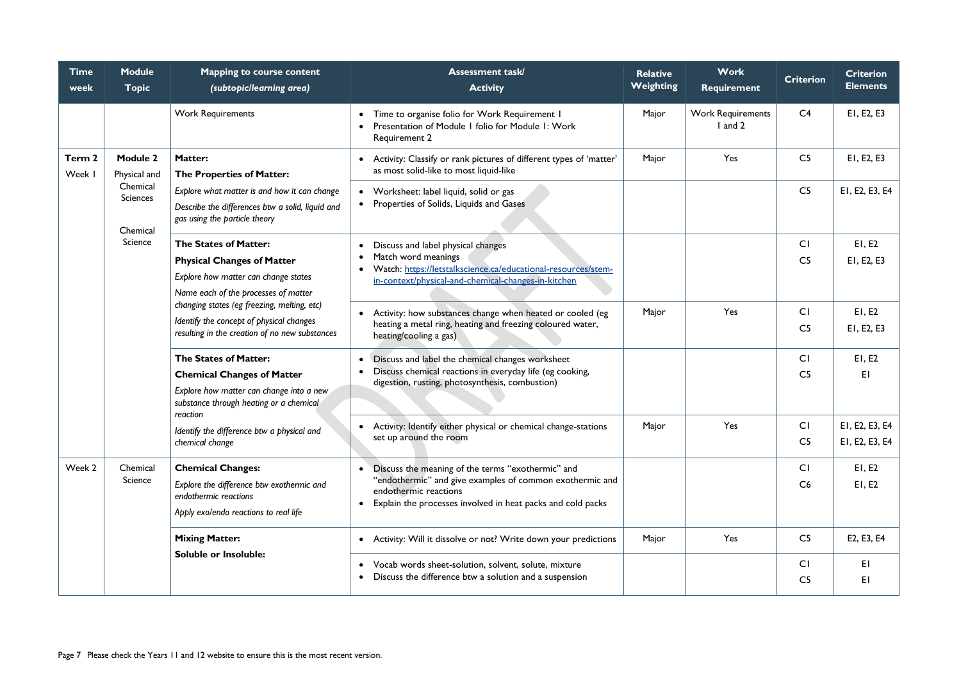| <b>Time</b><br>week | <b>Module</b><br><b>Topic</b>                                                                                                                                                                                             | <b>Mapping to course content</b><br>(subtopic/learning area)                                                             | <b>Assessment task/</b><br><b>Activity</b>                                                                                | <b>Relative</b><br><b>Weighting</b> | <b>Work</b><br><b>Requirement</b>   | <b>Criterion</b> | <b>Criterion</b><br><b>Elements</b> |
|---------------------|---------------------------------------------------------------------------------------------------------------------------------------------------------------------------------------------------------------------------|--------------------------------------------------------------------------------------------------------------------------|---------------------------------------------------------------------------------------------------------------------------|-------------------------------------|-------------------------------------|------------------|-------------------------------------|
|                     |                                                                                                                                                                                                                           | <b>Work Requirements</b>                                                                                                 | Time to organise folio for Work Requirement I<br>Presentation of Module I folio for Module I: Work<br>Requirement 2       | Major                               | <b>Work Requirements</b><br>I and 2 | C <sub>4</sub>   | EI, E2, E3                          |
| Term 2<br>Week I    | <b>Module 2</b><br>Physical and                                                                                                                                                                                           | <b>Matter:</b><br>The Properties of Matter:                                                                              | Activity: Classify or rank pictures of different types of 'matter'<br>$\bullet$<br>as most solid-like to most liquid-like | Major                               | Yes                                 | C <sub>5</sub>   | EI, E2, E3                          |
|                     | Chemical<br><b>Sciences</b>                                                                                                                                                                                               | Explore what matter is and how it can change                                                                             | • Worksheet: label liquid, solid or gas                                                                                   |                                     |                                     | C <sub>5</sub>   | EI, E2, E3, E4                      |
|                     | Chemical                                                                                                                                                                                                                  | Describe the differences btw a solid, liquid and<br>gas using the particle theory                                        | • Properties of Solids, Liquids and Gases                                                                                 |                                     |                                     |                  |                                     |
|                     | Science                                                                                                                                                                                                                   | The States of Matter:                                                                                                    | Discuss and label physical changes                                                                                        |                                     |                                     | CI               | EI, E2                              |
|                     |                                                                                                                                                                                                                           | <b>Physical Changes of Matter</b>                                                                                        | Match word meanings<br>$\bullet$<br>Watch: https://letstalkscience.ca/educational-resources/stem-                         |                                     |                                     | C <sub>5</sub>   | EI, E2, E3                          |
|                     | Explore how matter can change states<br>Name each of the processes of matter<br>changing states (eg freezing, melting, etc)<br>Identify the concept of physical changes<br>resulting in the creation of no new substances | in-context/physical-and-chemical-changes-in-kitchen                                                                      |                                                                                                                           |                                     |                                     |                  |                                     |
|                     |                                                                                                                                                                                                                           |                                                                                                                          |                                                                                                                           |                                     |                                     |                  |                                     |
|                     |                                                                                                                                                                                                                           | Activity: how substances change when heated or cooled (eg<br>$\bullet$                                                   | Major                                                                                                                     | Yes                                 | CI                                  | E1, E2           |                                     |
|                     |                                                                                                                                                                                                                           |                                                                                                                          | heating a metal ring, heating and freezing coloured water,<br>heating/cooling a gas)                                      |                                     |                                     | C <sub>5</sub>   | EI, E2, E3                          |
|                     |                                                                                                                                                                                                                           | <b>The States of Matter:</b>                                                                                             | • Discuss and label the chemical changes worksheet                                                                        |                                     |                                     | CI               | E1, E2                              |
|                     | <b>Chemical Changes of Matter</b>                                                                                                                                                                                         | Discuss chemical reactions in everyday life (eg cooking,<br>$\bullet$<br>digestion, rusting, photosynthesis, combustion) |                                                                                                                           |                                     | C <sub>5</sub>                      | EI               |                                     |
|                     |                                                                                                                                                                                                                           | Explore how matter can change into a new<br>substance through heating or a chemical<br>reaction                          |                                                                                                                           |                                     |                                     |                  |                                     |
|                     |                                                                                                                                                                                                                           | Identify the difference btw a physical and                                                                               | Activity: Identify either physical or chemical change-stations                                                            | Major                               | Yes                                 | CI               | EI, E2, E3, E4                      |
|                     |                                                                                                                                                                                                                           | chemical change                                                                                                          | set up around the room                                                                                                    |                                     |                                     | C <sub>5</sub>   | EI, E2, E3, E4                      |
| Week 2              | Chemical                                                                                                                                                                                                                  | <b>Chemical Changes:</b>                                                                                                 | Discuss the meaning of the terms "exothermic" and                                                                         |                                     |                                     | CI               | E1, E2                              |
|                     | Science                                                                                                                                                                                                                   | Explore the difference btw exothermic and                                                                                | "endothermic" and give examples of common exothermic and<br>endothermic reactions                                         |                                     |                                     | C6               | E1, E2                              |
|                     |                                                                                                                                                                                                                           | endothermic reactions                                                                                                    | Explain the processes involved in heat packs and cold packs<br>$\bullet$                                                  |                                     |                                     |                  |                                     |
|                     |                                                                                                                                                                                                                           | Apply exo/endo reactions to real life                                                                                    |                                                                                                                           |                                     |                                     |                  |                                     |
|                     |                                                                                                                                                                                                                           | <b>Mixing Matter:</b><br><b>Soluble or Insoluble:</b>                                                                    | • Activity: Will it dissolve or not? Write down your predictions                                                          | Major                               | Yes                                 | C <sub>5</sub>   | E2, E3, E4                          |
|                     |                                                                                                                                                                                                                           |                                                                                                                          | Vocab words sheet-solution, solvent, solute, mixture<br>$\bullet$                                                         |                                     |                                     | CI               | EI                                  |
|                     |                                                                                                                                                                                                                           |                                                                                                                          | Discuss the difference btw a solution and a suspension<br>$\bullet$                                                       |                                     |                                     | C <sub>5</sub>   | EI                                  |
|                     |                                                                                                                                                                                                                           |                                                                                                                          |                                                                                                                           |                                     |                                     |                  |                                     |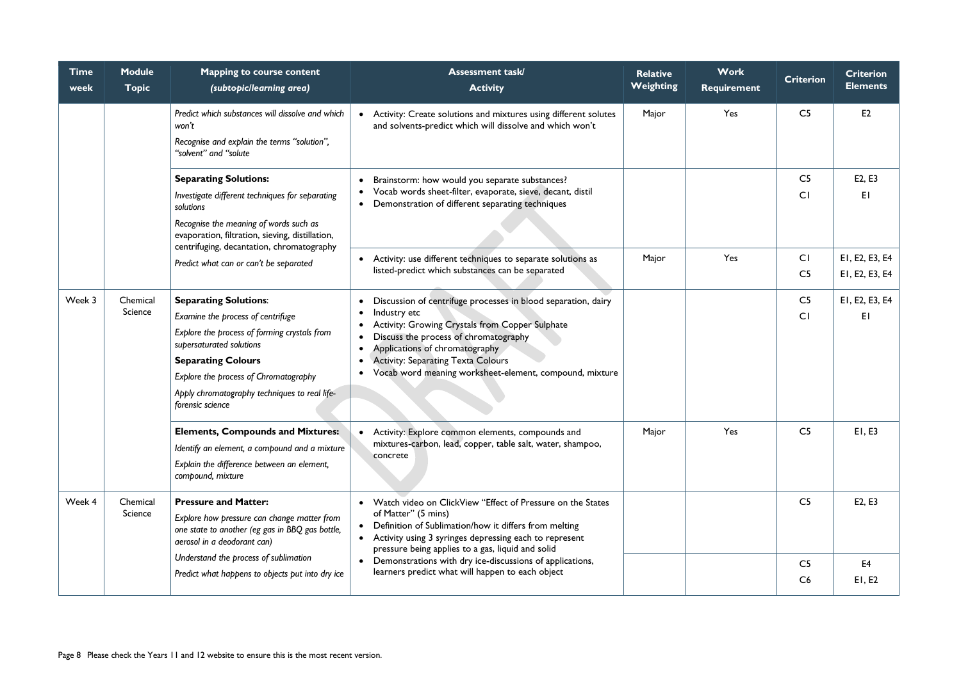| <b>Time</b><br>week | <b>Module</b><br><b>Topic</b>                                                                                                                                                                                                          | <b>Mapping to course content</b><br>(subtopic/learning area)                                                                                                                                                                                                                             | <b>Assessment task/</b><br><b>Activity</b>                                                                                                                                                                                                                                                                                                                                           | <b>Relative</b><br>Weighting | <b>Work</b><br><b>Requirement</b> | <b>Criterion</b>     | <b>Criterion</b><br><b>Elements</b> |
|---------------------|----------------------------------------------------------------------------------------------------------------------------------------------------------------------------------------------------------------------------------------|------------------------------------------------------------------------------------------------------------------------------------------------------------------------------------------------------------------------------------------------------------------------------------------|--------------------------------------------------------------------------------------------------------------------------------------------------------------------------------------------------------------------------------------------------------------------------------------------------------------------------------------------------------------------------------------|------------------------------|-----------------------------------|----------------------|-------------------------------------|
|                     |                                                                                                                                                                                                                                        | Predict which substances will dissolve and which<br>won't<br>Recognise and explain the terms "solution",<br>"solvent" and "solute                                                                                                                                                        | • Activity: Create solutions and mixtures using different solutes<br>and solvents-predict which will dissolve and which won't                                                                                                                                                                                                                                                        | Major                        | Yes                               | C <sub>5</sub>       | E2                                  |
|                     | <b>Separating Solutions:</b><br>Investigate different techniques for separating<br>solutions<br>Recognise the meaning of words such as<br>evaporation, filtration, sieving, distillation,<br>centrifuging, decantation, chromatography | Brainstorm: how would you separate substances?<br>$\bullet$<br>Vocab words sheet-filter, evaporate, sieve, decant, distil<br>$\bullet$<br>Demonstration of different separating techniques<br>$\bullet$                                                                                  |                                                                                                                                                                                                                                                                                                                                                                                      |                              | C <sub>5</sub><br>CI              | E2, E3<br>EI         |                                     |
|                     |                                                                                                                                                                                                                                        | Predict what can or can't be separated                                                                                                                                                                                                                                                   | • Activity: use different techniques to separate solutions as<br>listed-predict which substances can be separated                                                                                                                                                                                                                                                                    | Major                        | Yes                               | CI<br>C <sub>5</sub> | EI, E2, E3, E4<br>EI, E2, E3, E4    |
| Week 3              | Chemical<br>Science                                                                                                                                                                                                                    | <b>Separating Solutions:</b><br>Examine the process of centrifuge<br>Explore the process of forming crystals from<br>supersaturated solutions<br><b>Separating Colours</b><br>Explore the process of Chromatography<br>Apply chromatography techniques to real life-<br>forensic science | Discussion of centrifuge processes in blood separation, dairy<br>$\bullet$<br>Industry etc<br>$\bullet$<br>Activity: Growing Crystals from Copper Sulphate<br>$\bullet$<br>Discuss the process of chromatography<br>Applications of chromatography<br>$\bullet$<br><b>Activity: Separating Texta Colours</b><br>Vocab word meaning worksheet-element, compound, mixture<br>$\bullet$ |                              |                                   | C <sub>5</sub><br>CI | EI, E2, E3, E4<br>E1                |
|                     |                                                                                                                                                                                                                                        | <b>Elements, Compounds and Mixtures:</b><br>Identify an element, a compound and a mixture<br>Explain the difference between an element,<br>compound, mixture                                                                                                                             | • Activity: Explore common elements, compounds and<br>mixtures-carbon, lead, copper, table salt, water, shampoo,<br>concrete                                                                                                                                                                                                                                                         | Major                        | Yes                               | C <sub>5</sub>       | EI, E3                              |
| Week 4              | Chemical<br>Science                                                                                                                                                                                                                    | <b>Pressure and Matter:</b><br>Explore how pressure can change matter from<br>one state to another (eg gas in BBQ gas bottle,<br>aerosol in a deodorant can)                                                                                                                             | • Watch video on ClickView "Effect of Pressure on the States<br>of Matter" (5 mins)<br>Definition of Sublimation/how it differs from melting<br>• Activity using 3 syringes depressing each to represent<br>pressure being applies to a gas, liquid and solid                                                                                                                        |                              |                                   | C <sub>5</sub>       | E2, E3                              |
|                     |                                                                                                                                                                                                                                        | Understand the process of sublimation<br>Predict what happens to objects put into dry ice                                                                                                                                                                                                | • Demonstrations with dry ice-discussions of applications,<br>learners predict what will happen to each object                                                                                                                                                                                                                                                                       |                              |                                   | C <sub>5</sub><br>C6 | E4<br>EI, E2                        |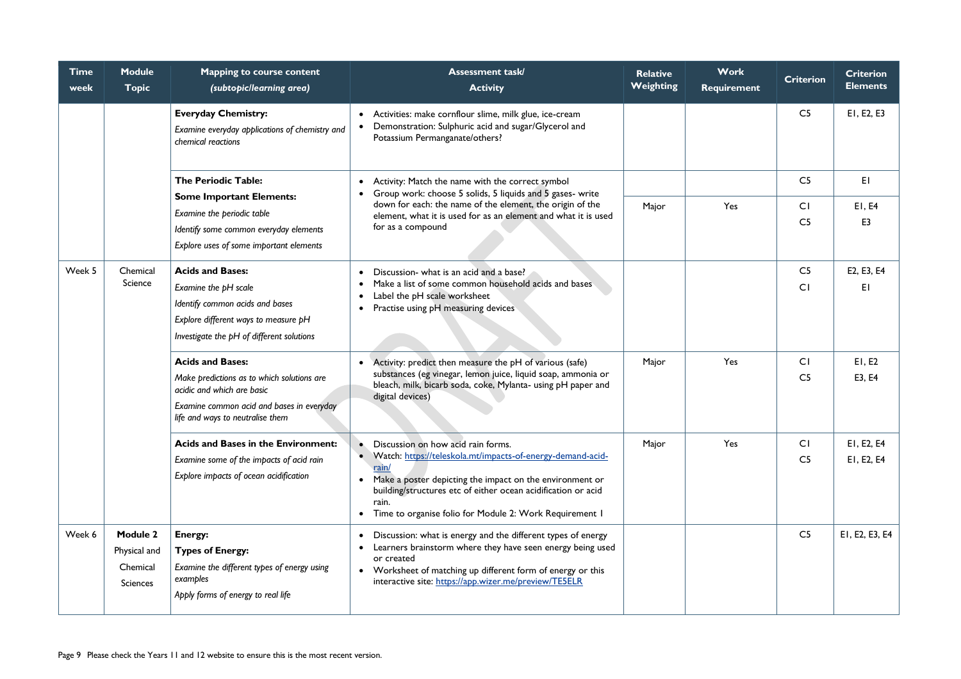| <b>Time</b><br>week | <b>Module</b><br><b>Topic</b>                                  | <b>Mapping to course content</b><br>(subtopic/learning area)                                                                                                                         | <b>Assessment task/</b><br><b>Activity</b>                                                                                                                                                                                                                                                                     | <b>Relative</b><br>Weighting | <b>Work</b><br><b>Requirement</b> | <b>Criterion</b>                 | <b>Criterion</b><br><b>Elements</b> |
|---------------------|----------------------------------------------------------------|--------------------------------------------------------------------------------------------------------------------------------------------------------------------------------------|----------------------------------------------------------------------------------------------------------------------------------------------------------------------------------------------------------------------------------------------------------------------------------------------------------------|------------------------------|-----------------------------------|----------------------------------|-------------------------------------|
|                     |                                                                | <b>Everyday Chemistry:</b><br>Examine everyday applications of chemistry and<br>chemical reactions                                                                                   | • Activities: make cornflour slime, milk glue, ice-cream<br>Demonstration: Sulphuric acid and sugar/Glycerol and<br>Potassium Permanganate/others?                                                                                                                                                             |                              |                                   | C <sub>5</sub>                   | EI, E2, E3                          |
|                     |                                                                | <b>The Periodic Table:</b>                                                                                                                                                           | Activity: Match the name with the correct symbol<br>$\bullet$<br>Group work: choose 5 solids, 5 liquids and 5 gases- write                                                                                                                                                                                     |                              |                                   | C <sub>5</sub>                   | EI                                  |
|                     |                                                                | <b>Some Important Elements:</b><br>Examine the periodic table<br>Identify some common everyday elements<br>Explore uses of some important elements                                   | down for each: the name of the element, the origin of the<br>element, what it is used for as an element and what it is used<br>for as a compound                                                                                                                                                               | Major                        | Yes                               | CI<br>C <sub>5</sub>             | E1, E4<br>E3                        |
| Week 5              | Chemical<br>Science                                            | <b>Acids and Bases:</b><br>Examine the pH scale<br>Identify common acids and bases<br>Explore different ways to measure pH<br>Investigate the pH of different solutions              | Discussion- what is an acid and a base?<br>$\bullet$<br>Make a list of some common household acids and bases<br>$\bullet$<br>Label the pH scale worksheet<br>$\bullet$<br>Practise using pH measuring devices<br>$\bullet$                                                                                     |                              |                                   | C <sub>5</sub><br>CI             | E2, E3, E4<br>ΕI                    |
|                     |                                                                | <b>Acids and Bases:</b><br>Make predictions as to which solutions are<br>acidic and which are basic<br>Examine common acid and bases in everyday<br>life and ways to neutralise them | Activity: predict then measure the pH of various (safe)<br>$\bullet$<br>substances (eg vinegar, lemon juice, liquid soap, ammonia or<br>bleach, milk, bicarb soda, coke, Mylanta- using pH paper and<br>digital devices)                                                                                       | Major                        | Yes                               | $\overline{C}$<br>C <sub>5</sub> | E1, E2<br>E3, E4                    |
|                     |                                                                | <b>Acids and Bases in the Environment:</b><br>Examine some of the impacts of acid rain<br>Explore impacts of ocean acidification                                                     | Discussion on how acid rain forms.<br>• Watch: https://teleskola.mt/impacts-of-energy-demand-acid-<br>rain/<br>• Make a poster depicting the impact on the environment or<br>building/structures etc of either ocean acidification or acid<br>rain.<br>Time to organise folio for Module 2: Work Requirement 1 | Major                        | Yes                               | CI<br>C <sub>5</sub>             | EI, E2, E4<br>EI, E2, E4            |
| Week 6              | <b>Module 2</b><br>Physical and<br>Chemical<br><b>Sciences</b> | Energy:<br><b>Types of Energy:</b><br>Examine the different types of energy using<br>examples<br>Apply forms of energy to real life                                                  | Discussion: what is energy and the different types of energy<br>$\bullet$<br>Learners brainstorm where they have seen energy being used<br>or created<br>• Worksheet of matching up different form of energy or this<br>interactive site: https://app.wizer.me/preview/TE5ELR                                  |                              |                                   | C <sub>5</sub>                   | EI, E2, E3, E4                      |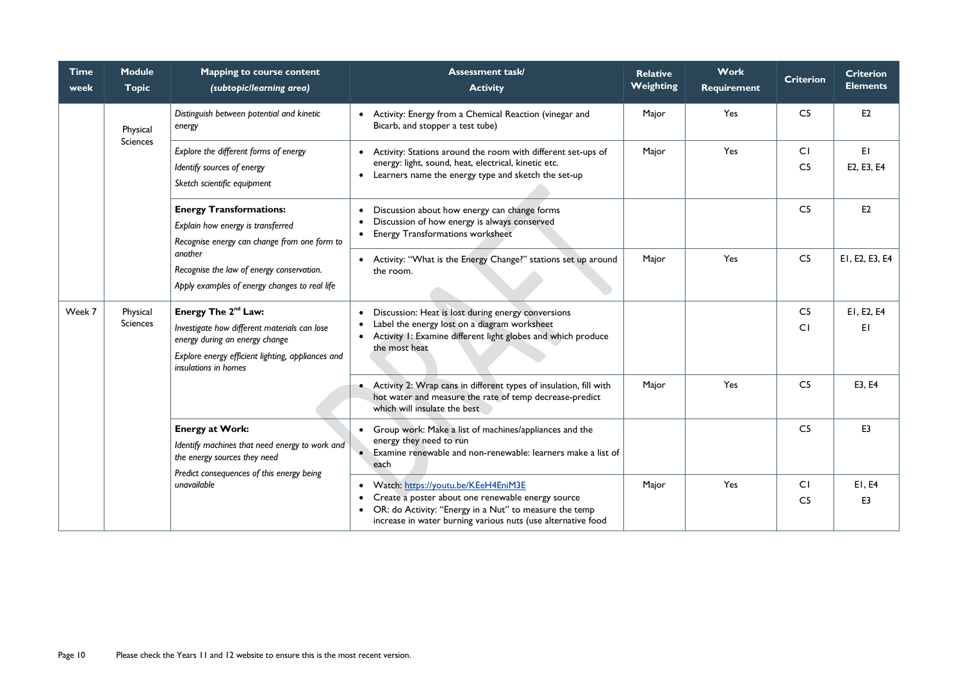| <b>Time</b><br>week | <b>Module</b><br><b>Topic</b> | <b>Mapping to course content</b><br>(subtopic/learning area)                                                                                                                                   | <b>Assessment task/</b><br><b>Activity</b>                                                                                                                                                                                                                | <b>Relative</b><br>Weighting | <b>Work</b><br><b>Requirement</b> | <b>Criterion</b>            | <b>Criterion</b><br><b>Elements</b> |
|---------------------|-------------------------------|------------------------------------------------------------------------------------------------------------------------------------------------------------------------------------------------|-----------------------------------------------------------------------------------------------------------------------------------------------------------------------------------------------------------------------------------------------------------|------------------------------|-----------------------------------|-----------------------------|-------------------------------------|
|                     | Physical                      | Distinguish between potential and kinetic<br>energy                                                                                                                                            | • Activity: Energy from a Chemical Reaction (vinegar and<br>Bicarb, and stopper a test tube)                                                                                                                                                              | Major                        | Yes                               | C <sub>5</sub>              | E2                                  |
|                     | <b>Sciences</b>               | Explore the different forms of energy<br>Identify sources of energy<br>Sketch scientific equipment                                                                                             | • Activity: Stations around the room with different set-ups of<br>energy: light, sound, heat, electrical, kinetic etc.<br>• Learners name the energy type and sketch the set-up                                                                           | Major                        | Yes                               | CI<br>C <sub>5</sub>        | EI<br>E2, E3, E4                    |
|                     |                               | <b>Energy Transformations:</b><br>Explain how energy is transferred<br>Recognise energy can change from one form to                                                                            | Discussion about how energy can change forms<br>Discussion of how energy is always conserved<br><b>Energy Transformations worksheet</b>                                                                                                                   |                              |                                   | C <sub>5</sub>              | E2                                  |
|                     |                               | another<br>Recognise the law of energy conservation.<br>Apply examples of energy changes to real life                                                                                          | • Activity: "What is the Energy Change?" stations set up around<br>the room.                                                                                                                                                                              | Major                        | Yes                               | C <sub>5</sub>              | EI, E2, E3, E4                      |
| Week 7              | Physical<br><b>Sciences</b>   | Energy The 2 <sup>nd</sup> Law:<br>Investigate how different materials can lose<br>energy during an energy change<br>Explore energy efficient lighting, appliances and<br>insulations in homes | Discussion: Heat is lost during energy conversions<br>$\bullet$<br>Label the energy lost on a diagram worksheet<br>Activity 1: Examine different light globes and which produce<br>$\bullet$<br>the most heat                                             |                              |                                   | C <sub>5</sub><br>CI        | E1, E2, E4<br>EI                    |
|                     |                               |                                                                                                                                                                                                | • Activity 2: Wrap cans in different types of insulation, fill with<br>hot water and measure the rate of temp decrease-predict<br>which will insulate the best                                                                                            | Major                        | Yes                               | C <sub>5</sub>              | E3, E4                              |
|                     |                               | <b>Energy at Work:</b><br>Identify machines that need energy to work and<br>the energy sources they need<br>Predict consequences of this energy being                                          | Group work: Make a list of machines/appliances and the<br>energy they need to run<br>Examine renewable and non-renewable: learners make a list of<br>each                                                                                                 |                              |                                   | C <sub>5</sub>              | E <sub>3</sub>                      |
|                     |                               | unavailable                                                                                                                                                                                    | Watch: https://youtu.be/KEeH4EniM3E<br>$\bullet$<br>Create a poster about one renewable energy source<br>$\bullet$<br>OR: do Activity: "Energy in a Nut" to measure the temp<br>$\bullet$<br>increase in water burning various nuts (use alternative food | Major                        | Yes                               | <b>CI</b><br>C <sub>5</sub> | E1, E4<br>E <sub>3</sub>            |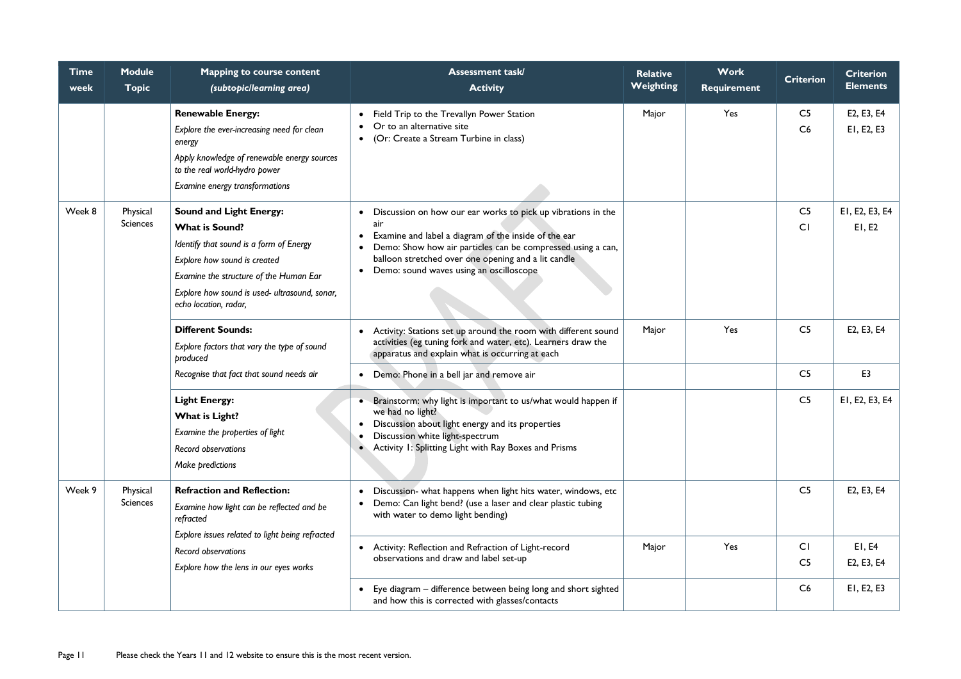| Time<br>week | <b>Module</b><br><b>Topic</b> | <b>Mapping to course content</b><br>(subtopic/learning area)                                                                                                                                                                                           | <b>Assessment task/</b><br><b>Activity</b>                                                                                                                                                                                                                                                                             | <b>Relative</b><br><b>Weighting</b> | <b>Work</b><br><b>Requirement</b> | <b>Criterion</b>     | <b>Criterion</b><br><b>Elements</b> |
|--------------|-------------------------------|--------------------------------------------------------------------------------------------------------------------------------------------------------------------------------------------------------------------------------------------------------|------------------------------------------------------------------------------------------------------------------------------------------------------------------------------------------------------------------------------------------------------------------------------------------------------------------------|-------------------------------------|-----------------------------------|----------------------|-------------------------------------|
|              |                               | <b>Renewable Energy:</b><br>Explore the ever-increasing need for clean<br>energy<br>Apply knowledge of renewable energy sources<br>to the real world-hydro power<br>Examine energy transformations                                                     | Field Trip to the Trevallyn Power Station<br>Or to an alternative site<br>(Or: Create a Stream Turbine in class)<br>$\bullet$                                                                                                                                                                                          | Major                               | Yes                               | C <sub>5</sub><br>C6 | E2, E3, E4<br>EI, E2, E3            |
| Week 8       | Physical<br><b>Sciences</b>   | <b>Sound and Light Energy:</b><br><b>What is Sound?</b><br>Identify that sound is a form of Energy<br>Explore how sound is created<br>Examine the structure of the Human Ear<br>Explore how sound is used- ultrasound, sonar,<br>echo location, radar, | Discussion on how our ear works to pick up vibrations in the<br>air<br>Examine and label a diagram of the inside of the ear<br>$\bullet$<br>Demo: Show how air particles can be compressed using a can,<br>balloon stretched over one opening and a lit candle<br>Demo: sound waves using an oscilloscope<br>$\bullet$ |                                     |                                   | C <sub>5</sub><br>CI | EI, E2, E3, E4<br>E1, E2            |
|              |                               | <b>Different Sounds:</b><br>Explore factors that vary the type of sound<br>produced                                                                                                                                                                    | Activity: Stations set up around the room with different sound<br>$\bullet$<br>activities (eg tuning fork and water, etc). Learners draw the<br>apparatus and explain what is occurring at each                                                                                                                        | Major                               | Yes                               | C <sub>5</sub>       | E2, E3, E4                          |
|              |                               | Recognise that fact that sound needs air                                                                                                                                                                                                               | Demo: Phone in a bell jar and remove air<br>$\bullet$                                                                                                                                                                                                                                                                  |                                     |                                   | C <sub>5</sub>       | E <sub>3</sub>                      |
|              |                               | <b>Light Energy:</b><br>What is Light?<br>Examine the properties of light<br><b>Record observations</b><br>Make predictions                                                                                                                            | • Brainstorm: why light is important to us/what would happen if<br>we had no light?<br>Discussion about light energy and its properties<br>Discussion white light-spectrum<br>Activity 1: Splitting Light with Ray Boxes and Prisms<br>$\bullet$                                                                       |                                     |                                   | C <sub>5</sub>       | EI, E2, E3, E4                      |
| Week 9       | Physical<br><b>Sciences</b>   | <b>Refraction and Reflection:</b><br>Examine how light can be reflected and be<br>refracted                                                                                                                                                            | Discussion- what happens when light hits water, windows, etc<br>Demo: Can light bend? (use a laser and clear plastic tubing<br>$\bullet$<br>with water to demo light bending)                                                                                                                                          |                                     |                                   | C <sub>5</sub>       | E2, E3, E4                          |
|              |                               | Explore issues related to light being refracted<br>Record observations<br>Explore how the lens in our eyes works                                                                                                                                       | Activity: Reflection and Refraction of Light-record<br>$\bullet$<br>observations and draw and label set-up                                                                                                                                                                                                             | Major                               | Yes                               | CI<br>C <sub>5</sub> | E1, E4<br>E2, E3, E4                |
|              |                               |                                                                                                                                                                                                                                                        | Eye diagram – difference between being long and short sighted<br>$\bullet$<br>and how this is corrected with glasses/contacts                                                                                                                                                                                          |                                     |                                   | C6                   | EI, E2, E3                          |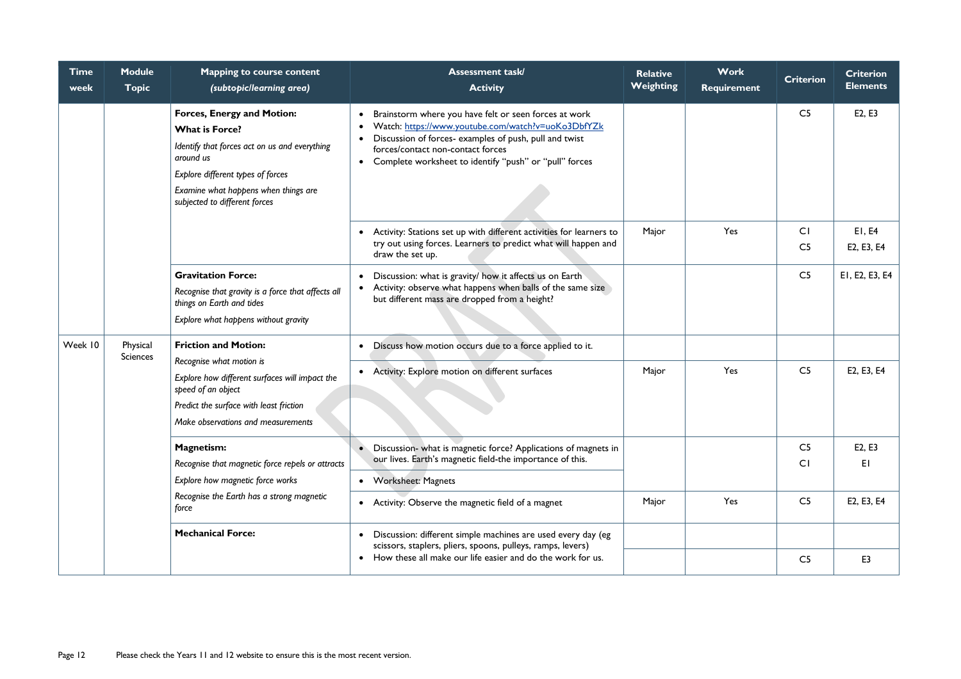| <b>Time</b><br>week | <b>Module</b><br><b>Topic</b> | <b>Mapping to course content</b><br>(subtopic/learning area)                                                                                                                                                                           | <b>Assessment task/</b><br><b>Activity</b>                                                                                                                                                                                                                                                                    | <b>Relative</b><br>Weighting | <b>Work</b><br>Requirement | <b>Criterion</b>     | <b>Criterion</b><br><b>Elements</b> |
|---------------------|-------------------------------|----------------------------------------------------------------------------------------------------------------------------------------------------------------------------------------------------------------------------------------|---------------------------------------------------------------------------------------------------------------------------------------------------------------------------------------------------------------------------------------------------------------------------------------------------------------|------------------------------|----------------------------|----------------------|-------------------------------------|
|                     |                               | <b>Forces, Energy and Motion:</b><br><b>What is Force?</b><br>Identify that forces act on us and everything<br>around us<br>Explore different types of forces<br>Examine what happens when things are<br>subjected to different forces | Brainstorm where you have felt or seen forces at work<br>$\bullet$<br>Watch: https://www.youtube.com/watch?v=uoKo3DbfYZk<br>$\bullet$<br>Discussion of forces- examples of push, pull and twist<br>$\bullet$<br>forces/contact non-contact forces<br>• Complete worksheet to identify "push" or "pull" forces |                              |                            | C <sub>5</sub>       | E2, E3                              |
|                     |                               |                                                                                                                                                                                                                                        | • Activity: Stations set up with different activities for learners to<br>try out using forces. Learners to predict what will happen and<br>draw the set up.                                                                                                                                                   | Major                        | Yes                        | CI<br>C <sub>5</sub> | E1, E4<br>E2, E3, E4                |
|                     |                               | <b>Gravitation Force:</b><br>Recognise that gravity is a force that affects all<br>things on Earth and tides<br>Explore what happens without gravity                                                                                   | Discussion: what is gravity/ how it affects us on Earth<br>$\bullet$<br>• Activity: observe what happens when balls of the same size<br>but different mass are dropped from a height?                                                                                                                         |                              |                            | C <sub>5</sub>       | EI, E2, E3, E4                      |
| Week 10             | Physical<br><b>Sciences</b>   | <b>Friction and Motion:</b>                                                                                                                                                                                                            | • Discuss how motion occurs due to a force applied to it.                                                                                                                                                                                                                                                     |                              |                            |                      |                                     |
|                     |                               | Recognise what motion is<br>Explore how different surfaces will impact the<br>speed of an object<br>Predict the surface with least friction<br>Make observations and measurements                                                      | • Activity: Explore motion on different surfaces                                                                                                                                                                                                                                                              | Major                        | Yes                        | C <sub>5</sub>       | E2, E3, E4                          |
|                     |                               | <b>Magnetism:</b>                                                                                                                                                                                                                      | Discussion- what is magnetic force? Applications of magnets in<br>$\bullet$<br>our lives. Earth's magnetic field-the importance of this.                                                                                                                                                                      |                              |                            | C <sub>5</sub>       | E2, E3                              |
|                     |                               | Recognise that magnetic force repels or attracts<br>Explore how magnetic force works                                                                                                                                                   | • Worksheet: Magnets                                                                                                                                                                                                                                                                                          |                              |                            | CI                   | EI                                  |
|                     |                               | Recognise the Earth has a strong magnetic<br>force                                                                                                                                                                                     | • Activity: Observe the magnetic field of a magnet                                                                                                                                                                                                                                                            | Major                        | Yes                        | C <sub>5</sub>       | E2, E3, E4                          |
|                     |                               | <b>Mechanical Force:</b>                                                                                                                                                                                                               | Discussion: different simple machines are used every day (eg<br>scissors, staplers, pliers, spoons, pulleys, ramps, levers)                                                                                                                                                                                   |                              |                            |                      |                                     |
|                     |                               |                                                                                                                                                                                                                                        | • How these all make our life easier and do the work for us.                                                                                                                                                                                                                                                  |                              |                            | C <sub>5</sub>       | E <sub>3</sub>                      |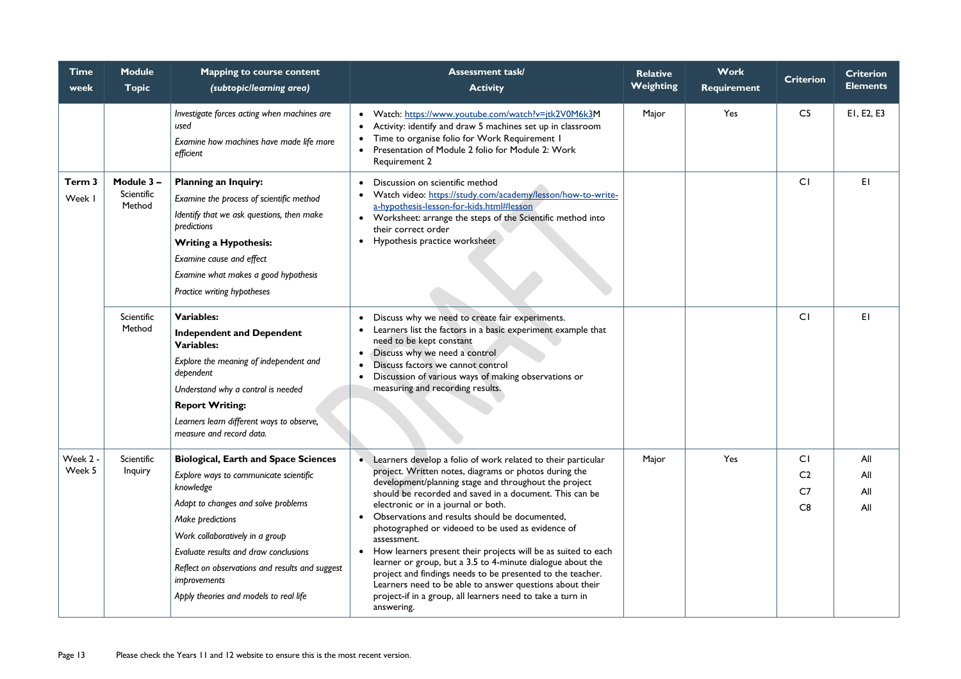| <b>Time</b><br>week | <b>Module</b><br><b>Topic</b>      | <b>Mapping to course content</b><br>(subtopic/learning area)                                                                                                                                                                                                                                                                                           | <b>Assessment task/</b><br><b>Activity</b>                                                                                                                                                                                                                                                                                                                                                                                                                                                                                                                                                                                                                                                                                                                            | <b>Relative</b><br><b>Weighting</b> | <b>Work</b><br><b>Requirement</b> | <b>Criterion</b>                                    | <b>Criterion</b><br><b>Elements</b> |
|---------------------|------------------------------------|--------------------------------------------------------------------------------------------------------------------------------------------------------------------------------------------------------------------------------------------------------------------------------------------------------------------------------------------------------|-----------------------------------------------------------------------------------------------------------------------------------------------------------------------------------------------------------------------------------------------------------------------------------------------------------------------------------------------------------------------------------------------------------------------------------------------------------------------------------------------------------------------------------------------------------------------------------------------------------------------------------------------------------------------------------------------------------------------------------------------------------------------|-------------------------------------|-----------------------------------|-----------------------------------------------------|-------------------------------------|
|                     |                                    | Investigate forces acting when machines are<br>used<br>Examine how machines have made life more<br>efficient                                                                                                                                                                                                                                           | Watch: https://www.youtube.com/watch?v=jtk2V0M6k3M<br>Activity: identify and draw 5 machines set up in classroom<br>Time to organise folio for Work Requirement I<br>Presentation of Module 2 folio for Module 2: Work<br>Requirement 2                                                                                                                                                                                                                                                                                                                                                                                                                                                                                                                               | Major                               | Yes                               | C <sub>5</sub>                                      | EI, E2, E3                          |
| Term 3<br>Week I    | Module 3 -<br>Scientific<br>Method | <b>Planning an Inquiry:</b><br>Examine the process of scientific method<br>Identify that we ask questions, then make<br>predictions<br><b>Writing a Hypothesis:</b><br>Examine cause and effect<br>Examine what makes a good hypothesis<br>Practice writing hypotheses                                                                                 | Discussion on scientific method<br>Watch video: https://study.com/academy/lesson/how-to-write-<br>$\bullet$<br>a-hypothesis-lesson-for-kids.html#lesson<br>Worksheet: arrange the steps of the Scientific method into<br>$\bullet$<br>their correct order<br>Hypothesis practice worksheet<br>$\bullet$                                                                                                                                                                                                                                                                                                                                                                                                                                                               |                                     |                                   | C <sub>1</sub>                                      | EI                                  |
|                     | Scientific<br>Method               | <b>Variables:</b><br><b>Independent and Dependent</b><br><b>Variables:</b><br>Explore the meaning of independent and<br>dependent<br>Understand why a control is needed<br><b>Report Writing:</b><br>Learners learn different ways to observe,<br>measure and record data.                                                                             | Discuss why we need to create fair experiments.<br>Learners list the factors in a basic experiment example that<br>need to be kept constant<br>Discuss why we need a control<br>$\bullet$<br>Discuss factors we cannot control<br>Discussion of various ways of making observations or<br>$\bullet$<br>measuring and recording results.                                                                                                                                                                                                                                                                                                                                                                                                                               |                                     |                                   | C <sub>1</sub>                                      | EI                                  |
| Week 2 -<br>Week 5  | Scientific<br>Inquiry              | <b>Biological, Earth and Space Sciences</b><br>Explore ways to communicate scientific<br>knowledge<br>Adapt to changes and solve problems<br>Make predictions<br>Work collaboratively in a group<br>Evaluate results and draw conclusions<br>Reflect on observations and results and suggest<br>improvements<br>Apply theories and models to real life | Learners develop a folio of work related to their particular<br>project. Written notes, diagrams or photos during the<br>development/planning stage and throughout the project<br>should be recorded and saved in a document. This can be<br>electronic or in a journal or both.<br>Observations and results should be documented,<br>$\bullet$<br>photographed or videoed to be used as evidence of<br>assessment.<br>How learners present their projects will be as suited to each<br>$\bullet$<br>learner or group, but a 3.5 to 4-minute dialogue about the<br>project and findings needs to be presented to the teacher.<br>Learners need to be able to answer questions about their<br>project-if in a group, all learners need to take a turn in<br>answering. | Major                               | Yes                               | <b>CI</b><br>C <sub>2</sub><br>C <sub>7</sub><br>C8 | All<br>All<br>All<br>All            |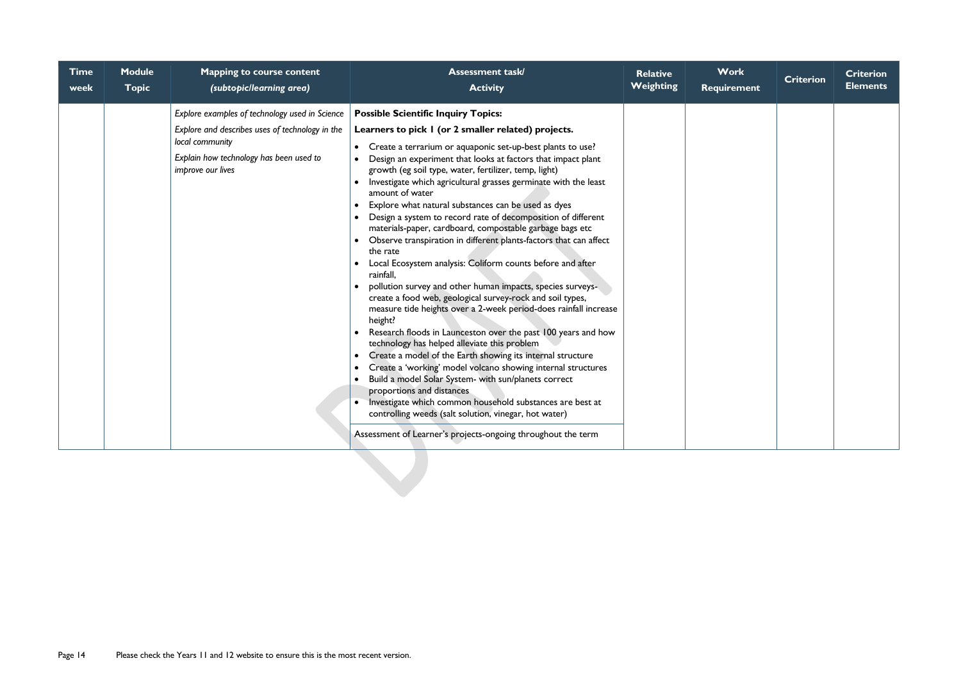| <b>Time</b><br>week | <b>Module</b><br><b>Topic</b> | <b>Mapping to course content</b><br>(subtopic/learning area)                                                                                                                                | <b>Assessment task/</b><br><b>Activity</b>                                                                                                                                                                                                                                                                                                                                                                                                                                                                                                                                                                                                                                                                                                                                                                                                                                                                                                                                                                                                                                                                                                                                                                                                                                                                                                                                                                                                                                                                                           | <b>Relative</b><br>Weighting | <b>Work</b><br>Requirement | <b>Criterion</b> | <b>Criterion</b><br><b>Elements</b> |
|---------------------|-------------------------------|---------------------------------------------------------------------------------------------------------------------------------------------------------------------------------------------|--------------------------------------------------------------------------------------------------------------------------------------------------------------------------------------------------------------------------------------------------------------------------------------------------------------------------------------------------------------------------------------------------------------------------------------------------------------------------------------------------------------------------------------------------------------------------------------------------------------------------------------------------------------------------------------------------------------------------------------------------------------------------------------------------------------------------------------------------------------------------------------------------------------------------------------------------------------------------------------------------------------------------------------------------------------------------------------------------------------------------------------------------------------------------------------------------------------------------------------------------------------------------------------------------------------------------------------------------------------------------------------------------------------------------------------------------------------------------------------------------------------------------------------|------------------------------|----------------------------|------------------|-------------------------------------|
|                     |                               | Explore examples of technology used in Science<br>Explore and describes uses of technology in the<br>local community<br>Explain how technology has been used to<br><i>improve our lives</i> | <b>Possible Scientific Inquiry Topics:</b><br>Learners to pick I (or 2 smaller related) projects.<br>• Create a terrarium or aquaponic set-up-best plants to use?<br>Design an experiment that looks at factors that impact plant<br>growth (eg soil type, water, fertilizer, temp, light)<br>Investigate which agricultural grasses germinate with the least<br>$\bullet$<br>amount of water<br>Explore what natural substances can be used as dyes<br>$\bullet$<br>Design a system to record rate of decomposition of different<br>materials-paper, cardboard, compostable garbage bags etc<br>Observe transpiration in different plants-factors that can affect<br>the rate<br>Local Ecosystem analysis: Coliform counts before and after<br>rainfall,<br>pollution survey and other human impacts, species surveys-<br>create a food web, geological survey-rock and soil types,<br>measure tide heights over a 2-week period-does rainfall increase<br>height?<br>Research floods in Launceston over the past 100 years and how<br>technology has helped alleviate this problem<br>Create a model of the Earth showing its internal structure<br>$\bullet$<br>Create a 'working' model volcano showing internal structures<br>$\bullet$<br>Build a model Solar System- with sun/planets correct<br>$\bullet$<br>proportions and distances<br>Investigate which common household substances are best at<br>controlling weeds (salt solution, vinegar, hot water)<br>Assessment of Learner's projects-ongoing throughout the term |                              |                            |                  |                                     |
|                     |                               |                                                                                                                                                                                             |                                                                                                                                                                                                                                                                                                                                                                                                                                                                                                                                                                                                                                                                                                                                                                                                                                                                                                                                                                                                                                                                                                                                                                                                                                                                                                                                                                                                                                                                                                                                      |                              |                            |                  |                                     |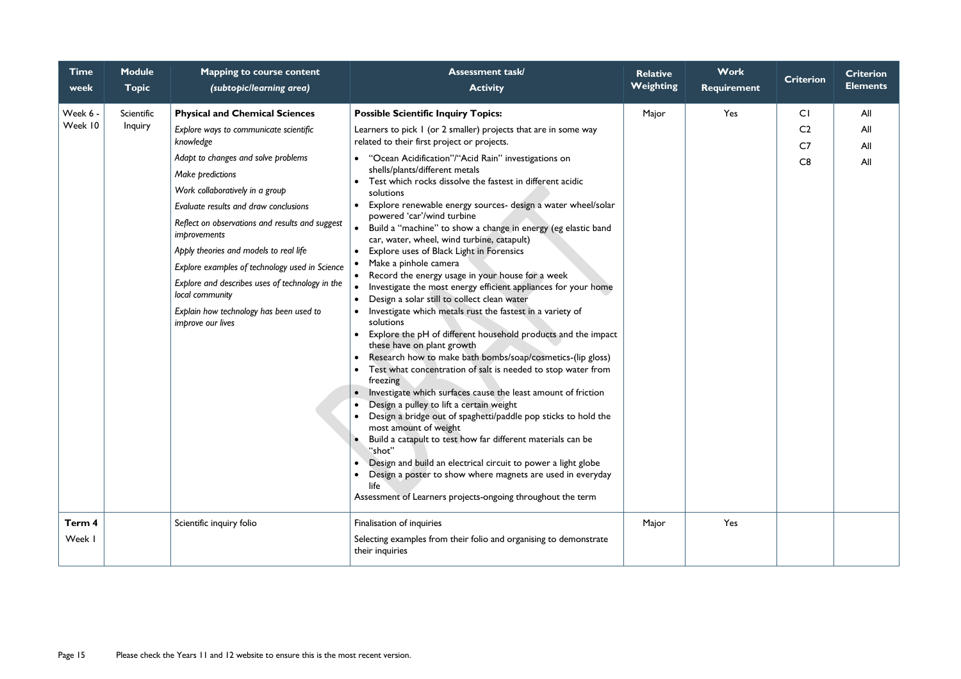| <b>Time</b><br>week | <b>Module</b><br><b>Topic</b> | <b>Mapping to course content</b><br>(subtopic/learning area)                                                                                                                                                                                                                                                                                                                                                                                                                                                                                    | <b>Assessment task/</b><br><b>Activity</b>                                                                                                                                                                                                                                                                                                                                                                                                                                                                                                                                                                                                                                                                                                                                                                                                                                                                                                                                                                                                                                                                                                                                                                                                                                                                                                                                                                                                                                                                                                                                                                                                                          | <b>Relative</b><br>Weighting | <b>Work</b><br><b>Requirement</b> | <b>Criterion</b>                             | <b>Criterion</b><br><b>Elements</b> |
|---------------------|-------------------------------|-------------------------------------------------------------------------------------------------------------------------------------------------------------------------------------------------------------------------------------------------------------------------------------------------------------------------------------------------------------------------------------------------------------------------------------------------------------------------------------------------------------------------------------------------|---------------------------------------------------------------------------------------------------------------------------------------------------------------------------------------------------------------------------------------------------------------------------------------------------------------------------------------------------------------------------------------------------------------------------------------------------------------------------------------------------------------------------------------------------------------------------------------------------------------------------------------------------------------------------------------------------------------------------------------------------------------------------------------------------------------------------------------------------------------------------------------------------------------------------------------------------------------------------------------------------------------------------------------------------------------------------------------------------------------------------------------------------------------------------------------------------------------------------------------------------------------------------------------------------------------------------------------------------------------------------------------------------------------------------------------------------------------------------------------------------------------------------------------------------------------------------------------------------------------------------------------------------------------------|------------------------------|-----------------------------------|----------------------------------------------|-------------------------------------|
| Week 6 -<br>Week 10 | Scientific<br>Inquiry         | <b>Physical and Chemical Sciences</b><br>Explore ways to communicate scientific<br>knowledge<br>Adapt to changes and solve problems<br>Make predictions<br>Work collaboratively in a group<br>Evaluate results and draw conclusions<br>Reflect on observations and results and suggest<br><i>improvements</i><br>Apply theories and models to real life<br>Explore examples of technology used in Science<br>Explore and describes uses of technology in the<br>local community<br>Explain how technology has been used to<br>improve our lives | <b>Possible Scientific Inquiry Topics:</b><br>Learners to pick I (or 2 smaller) projects that are in some way<br>related to their first project or projects.<br>• "Ocean Acidification"/"Acid Rain" investigations on<br>shells/plants/different metals<br>Test which rocks dissolve the fastest in different acidic<br>solutions<br>Explore renewable energy sources- design a water wheel/solar<br>powered 'car'/wind turbine<br>Build a "machine" to show a change in energy (eg elastic band<br>car, water, wheel, wind turbine, catapult)<br>Explore uses of Black Light in Forensics<br>Make a pinhole camera<br>Record the energy usage in your house for a week<br>$\bullet$<br>Investigate the most energy efficient appliances for your home<br>$\bullet$<br>Design a solar still to collect clean water<br>$\bullet$<br>Investigate which metals rust the fastest in a variety of<br>solutions<br>Explore the pH of different household products and the impact<br>these have on plant growth<br>Research how to make bath bombs/soap/cosmetics-(lip gloss)<br>$\bullet$<br>Test what concentration of salt is needed to stop water from<br>freezing<br>Investigate which surfaces cause the least amount of friction<br>Design a pulley to lift a certain weight<br>Design a bridge out of spaghetti/paddle pop sticks to hold the<br>most amount of weight<br>Build a catapult to test how far different materials can be<br>"shot"<br>Design and build an electrical circuit to power a light globe<br>$\bullet$<br>Design a poster to show where magnets are used in everyday<br>life<br>Assessment of Learners projects-ongoing throughout the term | Major                        | Yes                               | CI<br>C <sub>2</sub><br>C <sub>7</sub><br>C8 | All<br>All<br>All<br>All            |
| Term 4<br>Week      |                               | Scientific inquiry folio                                                                                                                                                                                                                                                                                                                                                                                                                                                                                                                        | Finalisation of inquiries<br>Selecting examples from their folio and organising to demonstrate<br>their inquiries                                                                                                                                                                                                                                                                                                                                                                                                                                                                                                                                                                                                                                                                                                                                                                                                                                                                                                                                                                                                                                                                                                                                                                                                                                                                                                                                                                                                                                                                                                                                                   | Major                        | Yes                               |                                              |                                     |